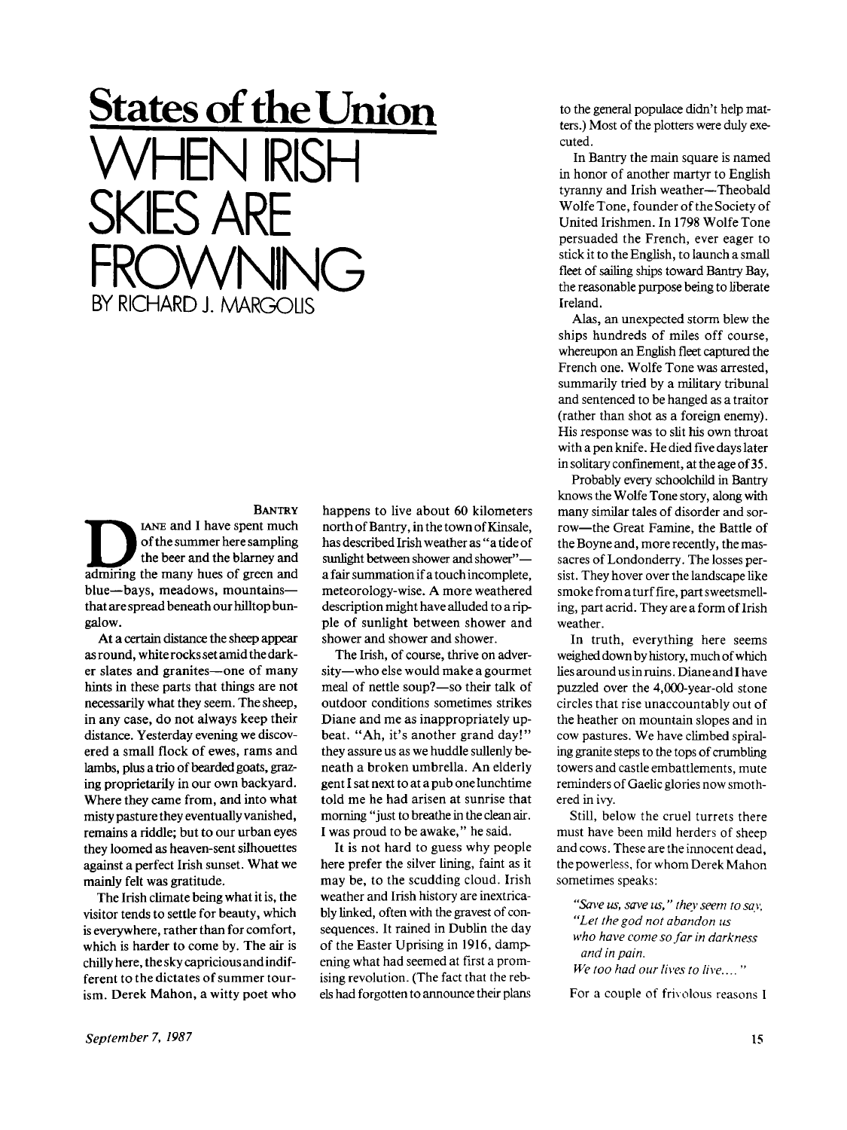**States of the Union**  WHEN RISH S ARE FROWNING BY RICHARD J. MARGOLIS

## **BANTRY**

BANTRY<br>
of the summer here sampling<br>
the beer and the blarney and<br>
admiring the many hues of green and IANE and I have spent much of the summer here sampling the beer and the blarney and blue—bays, meadows, mountains that are spread beneath our hilltop bungalow.

At a certain distance the sheep appear as round, white rocks set amid the darker slates and granites—one of many hints in these parts that things are not necessarily what they seem. The sheep, in any case, do not always keep their distance. Yesterday evening we discovered a small flock of ewes, rams and lambs, plus a trio of bearded goats, grazing proprietarily in our own backyard. Where they came from, and into what misty pasture they eventually vanished, remains a riddle; but to our urban eyes they loomed as heaven-sent silhouettes against a perfect Irish sunset. What we mainly felt was gratitude.

The Irish climate being what it is, the visitor tends to settle for beauty, which is everywhere, rather than for comfort, which is harder to come by. The air is chilly here, the sky capricious and indifferent to the dictates of summer tourism. Derek Mahon, a witty poet who

happens to live about 60 kilometers north of Bantry, in the town of Kinsale, has described Irish weather as "a tide of sunlight between shower and shower" a fair summation if a touch incomplete, meteorology-wise. A more weathered description might have alluded to a ripple of sunlight between shower and shower and shower and shower.

The Irish, of course, thrive on adversity—who else would make a gourmet meal of nettle soup?—so their talk of outdoor conditions sometimes strikes Diane and me as inappropriately upbeat. "Ah, it's another grand day!" they assure us as we huddle sullenly beneath a broken umbrella. An elderly gent I sat next to at a pub one lunchtime told me he had arisen at sunrise that morning "just to breathe in the clean air. I was proud to be awake," he said.

It is not hard to guess why people here prefer the silver lining, faint as it may be, to the scudding cloud. Irish weather and Irish history are inextricably linked, often with the gravest of consequences. It rained in Dublin the day of the Easter Uprising in 1916, dampening what had seemed at first a promising revolution. (The fact that the rebels had forgotten to announce their plans

to the general populace didn't help matters.) Most of the plotters were duly executed.

In Bantry the main square is named in honor of another martyr to English tyranny and Irish weather—Theobald Wolfe Tone, founder of the Society of United Irishmen. In 1798 Wolfe Tone persuaded the French, ever eager to stick it to the English, to launch a small fleet of sailing ships toward Bantry Bay, the reasonable purpose being to liberate Ireland.

Alas, an unexpected storm blew the ships hundreds of miles off course, whereupon an English fleet captured the French one. Wolfe Tone was arrested, summarily tried by a military tribunal and sentenced to be hanged as a traitor (rather than shot as a foreign enemy). His response was to slit his own throat with a pen knife. He died five days later in solitary confinement, at the age of 35.

Probably every schoolchild in Bantry knows the Wolfe Tone story, along with many similar tales of disorder and sorrow—the Great Famine, the Battle of the Boyne and, more recently, the massacres of Londonderry. The losses persist. They hover over the landscape like smoke from a turf fire, part sweetsmelling, part acrid. They are a form of Irish weather.

In truth, everything here seems weighed down by history, much of which lies around us in ruins. Diane and I have puzzled over the 4,000-year-old stone circles that rise unaccountably out of the heather on mountain slopes and in cow pastures. We have climbed spiraling granite steps to the tops of crumbling towers and castle embattlements, mute reminders of Gaelic glories now smothered in ivy.

Still, below the cruel turrets there must have been mild herders of sheep and cows. These are the innocent dead, the powerless, for whom Derek Mahon sometimes speaks:

*"Sa\'e us, save us," they seem to say, "Let the god not abandon us who have come so far in darkness and in pain. We too had our lives to live...."* 

For a couple of frivolous reasons I